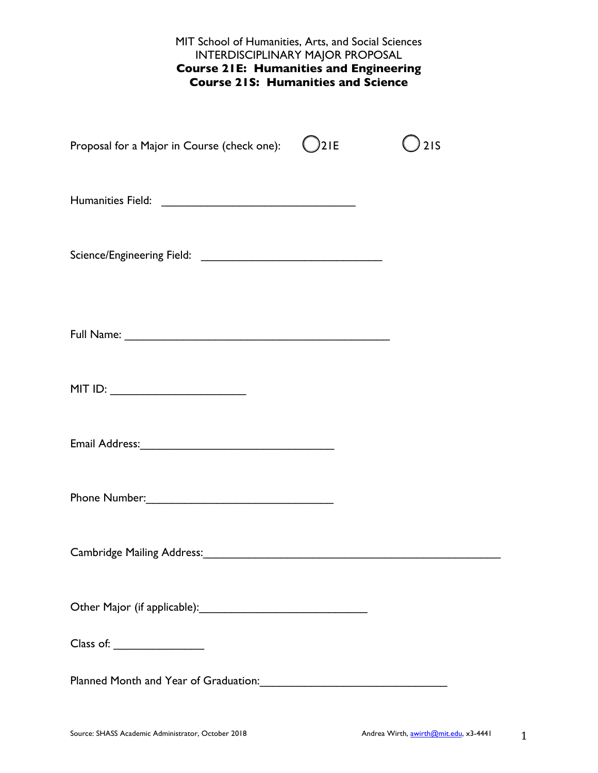| Proposal for a Major in Course (check one):  | 2IE | 21S |
|----------------------------------------------|-----|-----|
|                                              |     |     |
|                                              |     |     |
|                                              |     |     |
| MIT ID: ___________________________          |     |     |
|                                              |     |     |
|                                              |     |     |
|                                              |     |     |
|                                              |     |     |
| $\begin{tabular}{c} Class of: \end{tabular}$ |     |     |
| Planned Month and Year of Graduation:        |     |     |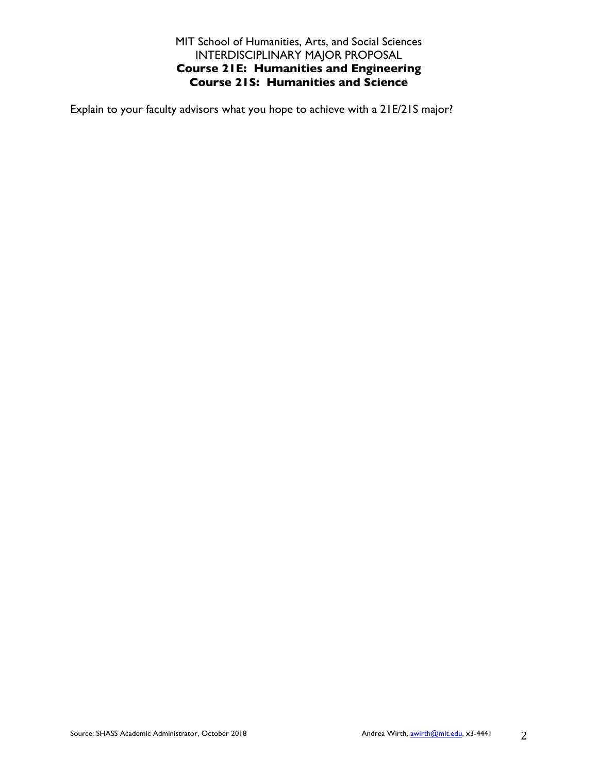Explain to your faculty advisors what you hope to achieve with a 21E/21S major?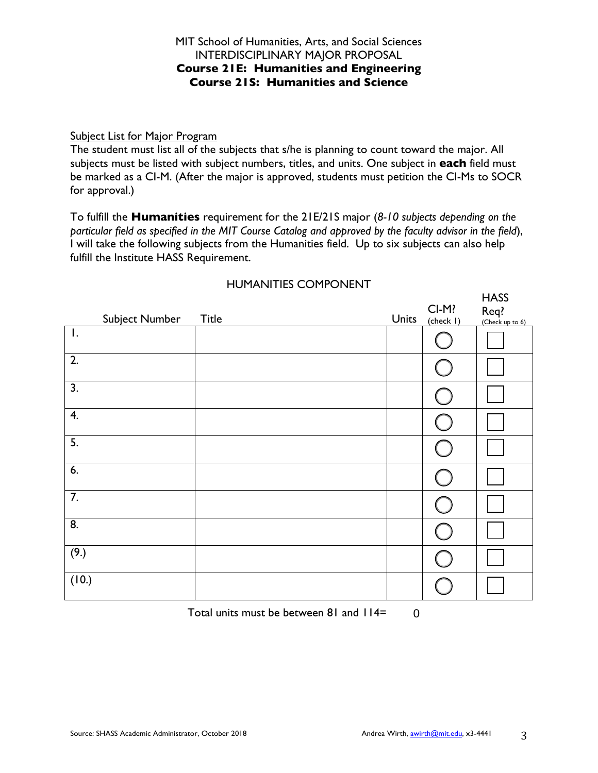#### Subject List for Major Program

The student must list all of the subjects that s/he is planning to count toward the major. All subjects must be listed with subject numbers, titles, and units. One subject in **each** field must be marked as a CI-M. (After the major is approved, students must petition the CI-Ms to SOCR for approval.)

To fulfill the **Humanities** requirement for the 21E/21S major (*8-10 subjects depending on the particular field as specified in the MIT Course Catalog and approved by the faculty advisor in the field*), I will take the following subjects from the Humanities field. Up to six subjects can also help fulfill the Institute HASS Requirement.

| Subject Number   | Title | Units | $CI-M?$<br>(check I) | $\cdots$<br>Req?<br>(Check up to 6) |
|------------------|-------|-------|----------------------|-------------------------------------|
| $\mathbf{I}$ .   |       |       |                      |                                     |
| 2.               |       |       |                      |                                     |
| $\overline{3}$ . |       |       |                      |                                     |
| 4.               |       |       |                      |                                     |
| 5.               |       |       |                      |                                     |
| 6.               |       |       |                      |                                     |
| 7.               |       |       |                      |                                     |
| 8.               |       |       |                      |                                     |
| (9.)             |       |       |                      |                                     |
| (10.)            |       |       |                      |                                     |

### HUMANITIES COMPONENT

Total units must be between 81 and 114=

 $\Omega$ 

**HASS**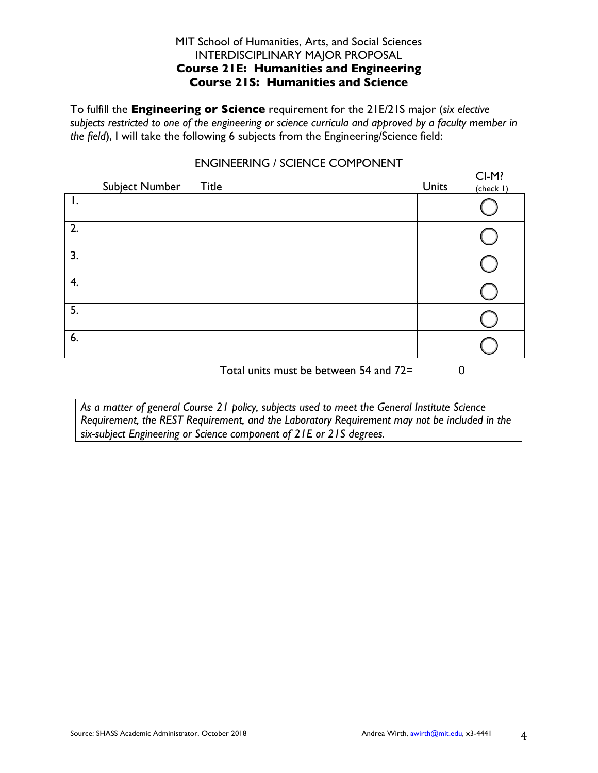To fulfill the **Engineering or Science** requirement for the 21E/21S major (*six elective subjects restricted to one of the engineering or science curricula and approved by a faculty member in the field*), I will take the following 6 subjects from the Engineering/Science field:

|                | Subject Number | Title | <b>Units</b> | $CL-M?$<br>(check I) |
|----------------|----------------|-------|--------------|----------------------|
| $\mathbf{I}$ . |                |       |              |                      |
| 2.             |                |       |              |                      |
| 3.             |                |       |              |                      |
| 4.             |                |       |              |                      |
| 5.             |                |       |              |                      |
| 6.             |                |       |              |                      |

## ENGINEERING / SCIENCE COMPONENT

Total units must be between 54 and 72=

*As a matter of general Course 21 policy, subjects used to meet the General Institute Science Requirement, the REST Requirement, and the Laboratory Requirement may not be included in the six-subject Engineering or Science component of 21E or 21S degrees.* 

0